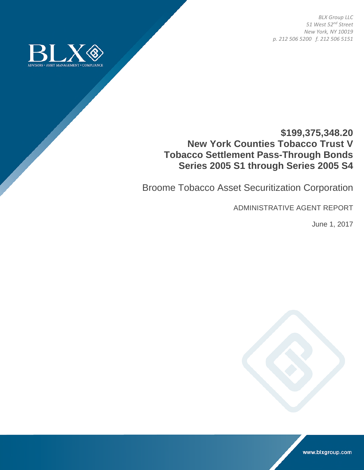*BLX Group LLC 51 West 52nd Street New York, NY 10019 p. 212 506 5200 f. 212 506 5151* 



# **\$199,375,348.20 New York Counties Tobacco Trust V Tobacco Settlement Pass-Through Bonds Series 2005 S1 through Series 2005 S4**

Broome Tobacco Asset Securitization Corporation

ADMINISTRATIVE AGENT REPORT

June 1, 2017



www.blxgroup.com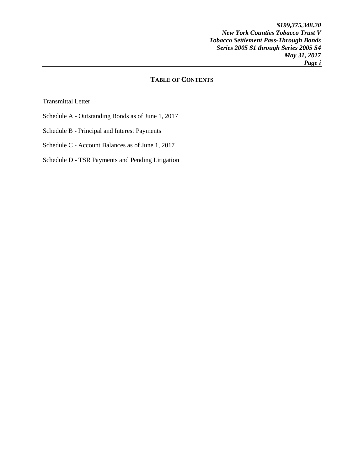*\$199,375,348.20 New York Counties Tobacco Trust V Tobacco Settlement Pass-Through Bonds Series 2005 S1 through Series 2005 S4 May 31, 2017 Page i* 

# **TABLE OF CONTENTS**

Transmittal Letter

- Schedule A Outstanding Bonds as of June 1, 2017
- Schedule B Principal and Interest Payments
- Schedule C Account Balances as of June 1, 2017

## Schedule D - TSR Payments and Pending Litigation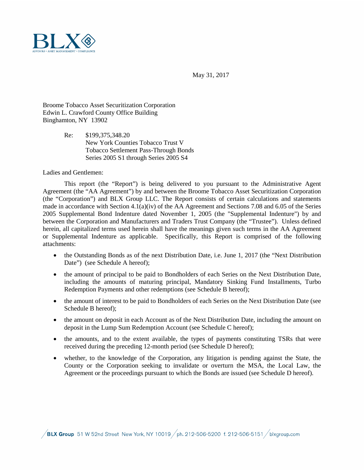

May 31, 2017

Broome Tobacco Asset Securitization Corporation Edwin L. Crawford County Office Building Binghamton, NY 13902

> Re: \$199,375,348.20 New York Counties Tobacco Trust V Tobacco Settlement Pass-Through Bonds Series 2005 S1 through Series 2005 S4

Ladies and Gentlemen:

This report (the "Report") is being delivered to you pursuant to the Administrative Agent Agreement (the "AA Agreement") by and between the Broome Tobacco Asset Securitization Corporation (the "Corporation") and BLX Group LLC. The Report consists of certain calculations and statements made in accordance with Section 4.1(a)(iv) of the AA Agreement and Sections 7.08 and 6.05 of the Series 2005 Supplemental Bond Indenture dated November 1, 2005 (the "Supplemental Indenture") by and between the Corporation and Manufacturers and Traders Trust Company (the "Trustee"). Unless defined herein, all capitalized terms used herein shall have the meanings given such terms in the AA Agreement or Supplemental Indenture as applicable. Specifically, this Report is comprised of the following attachments:

- the Outstanding Bonds as of the next Distribution Date, i.e. June 1, 2017 (the "Next Distribution Date") (see Schedule A hereof);
- the amount of principal to be paid to Bondholders of each Series on the Next Distribution Date, including the amounts of maturing principal, Mandatory Sinking Fund Installments, Turbo Redemption Payments and other redemptions (see Schedule B hereof);
- the amount of interest to be paid to Bondholders of each Series on the Next Distribution Date (see Schedule B hereof);
- the amount on deposit in each Account as of the Next Distribution Date, including the amount on deposit in the Lump Sum Redemption Account (see Schedule C hereof);
- the amounts, and to the extent available, the types of payments constituting TSRs that were received during the preceding 12-month period (see Schedule D hereof);
- whether, to the knowledge of the Corporation, any litigation is pending against the State, the County or the Corporation seeking to invalidate or overturn the MSA, the Local Law, the Agreement or the proceedings pursuant to which the Bonds are issued (see Schedule D hereof).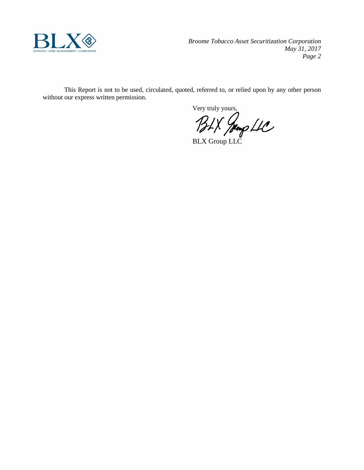

*Broome Tobacco Asset Securitization Corporation May 31, 2017 Page 2*

This Report is not to be used, circulated, quoted, referred to, or relied upon by any other person without our express written permission.

Very truly yours,

BLX Group LLC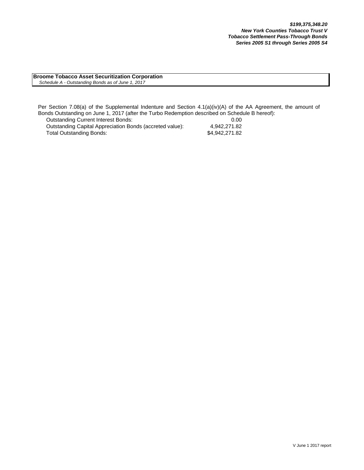**Broome Tobacco Asset Securitization Corporation**  *Schedule A - Outstanding Bonds as of June 1, 2017*

Per Section 7.08(a) of the Supplemental Indenture and Section 4.1(a)(iv)(A) of the AA Agreement, the amount of Bonds Outstanding on June 1, 2017 (after the Turbo Redemption described on Schedule B hereof):

| Outstanding Current Interest Bonds:                      | 0.00           |
|----------------------------------------------------------|----------------|
| Outstanding Capital Appreciation Bonds (accreted value): | 4.942.271.82   |
| Total Outstanding Bonds:                                 | \$4.942.271.82 |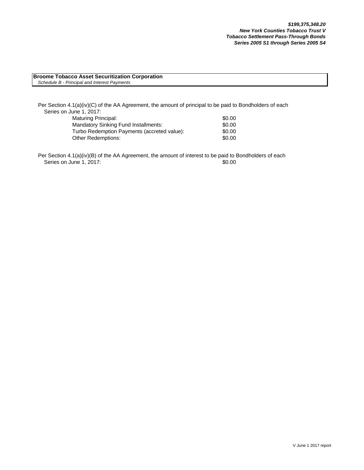#### **Broome Tobacco Asset Securitization Corporation** *Schedule B - Principal and Interest Payments*

Per Section 4.1(a)(iv)(C) of the AA Agreement, the amount of principal to be paid to Bondholders of each Series on June 1, 2017:

| Maturing Principal:                         | \$0.00 |
|---------------------------------------------|--------|
| Mandatory Sinking Fund Installments:        | \$0.00 |
| Turbo Redemption Payments (accreted value): | \$0.00 |
| Other Redemptions:                          | \$0.00 |

Per Section 4.1(a)(iv)(B) of the AA Agreement, the amount of interest to be paid to Bondholders of each Series on June 1, 2017: \$0.00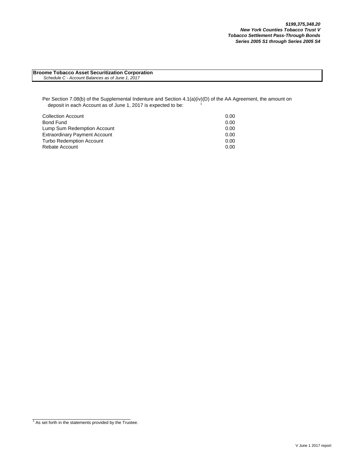| <b>Broome Tobacco Asset Securitization Corporation</b> |  |
|--------------------------------------------------------|--|
| Schedule C - Account Balances as of June 1, 2017       |  |

Per Section 7.08(b) of the Supplemental Indenture and Section 4.1(a)(iv)(D) of the AA Agreement, the amount on deposit in each Account as of June 1, 2017 is expected to be:

| <b>Collection Account</b>            | 0.00 |
|--------------------------------------|------|
| Bond Fund                            | 0.00 |
| Lump Sum Redemption Account          | 0.00 |
| <b>Extraordinary Payment Account</b> | 0.00 |
| <b>Turbo Redemption Account</b>      | 0.00 |
| Rebate Account                       | 0.00 |

 $1$  As set forth in the statements provided by the Trustee.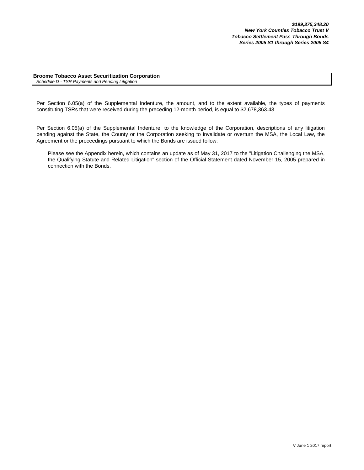**Broome Tobacco Asset Securitization Corporation** *Schedule D - TSR Payments and Pending Litigation*

Per Section 6.05(a) of the Supplemental Indenture, the amount, and to the extent available, the types of payments constituting TSRs that were received during the preceding 12-month period, is equal to \$2,678,363.43

Per Section 6.05(a) of the Supplemental Indenture, to the knowledge of the Corporation, descriptions of any litigation pending against the State, the County or the Corporation seeking to invalidate or overturn the MSA, the Local Law, the Agreement or the proceedings pursuant to which the Bonds are issued follow:

Please see the Appendix herein, which contains an update as of May 31, 2017 to the "Litigation Challenging the MSA, the Qualifying Statute and Related Litigation" section of the Official Statement dated November 15, 2005 prepared in connection with the Bonds.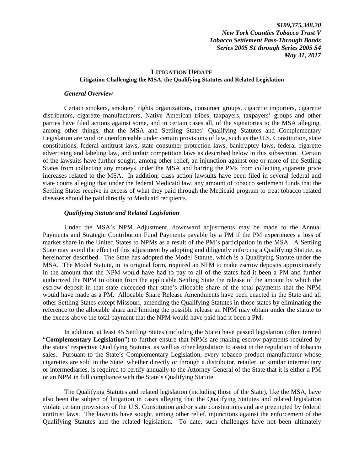### **LITIGATION UPDATE Litigation Challenging the MSA, the Qualifying Statutes and Related Legislation**

#### *General Overview*

Certain smokers, smokers' rights organizations, consumer groups, cigarette importers, cigarette distributors, cigarette manufacturers, Native American tribes, taxpayers, taxpayers' groups and other parties have filed actions against some, and in certain cases all, of the signatories to the MSA alleging, among other things, that the MSA and Settling States' Qualifying Statutes and Complementary Legislation are void or unenforceable under certain provisions of law, such as the U.S. Constitution, state constitutions, federal antitrust laws, state consumer protection laws, bankruptcy laws, federal cigarette advertising and labeling law, and unfair competition laws as described below in this subsection. Certain of the lawsuits have further sought, among other relief, an injunction against one or more of the Settling States from collecting any moneys under the MSA and barring the PMs from collecting cigarette price increases related to the MSA. In addition, class action lawsuits have been filed in several federal and state courts alleging that under the federal Medicaid law, any amount of tobacco settlement funds that the Settling States receive in excess of what they paid through the Medicaid program to treat tobacco related diseases should be paid directly to Medicaid recipients.

### *Qualifying Statute and Related Legislation*

Under the MSA's NPM Adjustment, downward adjustments may be made to the Annual Payments and Strategic Contribution Fund Payments payable by a PM if the PM experiences a loss of market share in the United States to NPMs as a result of the PM's participation in the MSA. A Settling State may avoid the effect of this adjustment by adopting and diligently enforcing a Qualifying Statute, as hereinafter described. The State has adopted the Model Statute, which is a Qualifying Statute under the MSA. The Model Statute, in its original form, required an NPM to make escrow deposits approximately in the amount that the NPM would have had to pay to all of the states had it been a PM and further authorized the NPM to obtain from the applicable Settling State the release of the amount by which the escrow deposit in that state exceeded that state's allocable share of the total payments that the NPM would have made as a PM. Allocable Share Release Amendments have been enacted in the State and all other Settling States except Missouri, amending the Qualifying Statutes in those states by eliminating the reference to the allocable share and limiting the possible release an NPM may obtain under the statute to the excess above the total payment that the NPM would have paid had it been a PM.

In addition, at least 45 Settling States (including the State) have passed legislation (often termed "**Complementary Legislation**") to further ensure that NPMs are making escrow payments required by the states' respective Qualifying Statutes, as well as other legislation to assist in the regulation of tobacco sales. Pursuant to the State's Complementary Legislation, every tobacco product manufacturer whose cigarettes are sold in the State, whether directly or through a distributor, retailer, or similar intermediary or intermediaries, is required to certify annually to the Attorney General of the State that it is either a PM or an NPM in full compliance with the State's Qualifying Statute.

The Qualifying Statutes and related legislation (including those of the State), like the MSA, have also been the subject of litigation in cases alleging that the Qualifying Statutes and related legislation violate certain provisions of the U.S. Constitution and/or state constitutions and are preempted by federal antitrust laws. The lawsuits have sought, among other relief, injunctions against the enforcement of the Qualifying Statutes and the related legislation. To date, such challenges have not been ultimately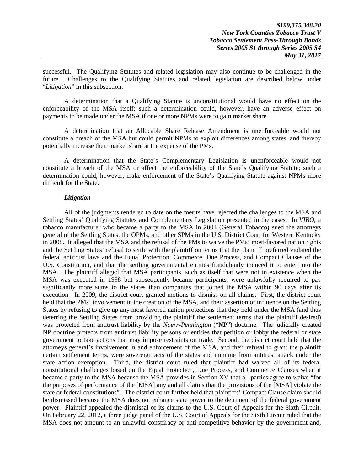successful. The Qualifying Statutes and related legislation may also continue to be challenged in the future. Challenges to the Qualifying Statutes and related legislation are described below under "*Litigation*" in this subsection.

A determination that a Qualifying Statute is unconstitutional would have no effect on the enforceability of the MSA itself; such a determination could, however, have an adverse effect on payments to be made under the MSA if one or more NPMs were to gain market share.

A determination that an Allocable Share Release Amendment is unenforceable would not constitute a breach of the MSA but could permit NPMs to exploit differences among states, and thereby potentially increase their market share at the expense of the PMs.

A determination that the State's Complementary Legislation is unenforceable would not constitute a breach of the MSA or affect the enforceability of the State's Qualifying Statute; such a determination could, however, make enforcement of the State's Qualifying Statute against NPMs more difficult for the State.

### *Litigation*

All of the judgments rendered to date on the merits have rejected the challenges to the MSA and Settling States' Qualifying Statutes and Complementary Legislation presented in the cases. In *VIBO*, a tobacco manufacturer who became a party to the MSA in 2004 (General Tobacco) sued the attorneys general of the Settling States, the OPMs, and other SPMs in the U.S. District Court for Western Kentucky in 2008. It alleged that the MSA and the refusal of the PMs to waive the PMs' most-favored nation rights and the Settling States' refusal to settle with the plaintiff on terms that the plaintiff preferred violated the federal antitrust laws and the Equal Protection, Commerce, Due Process, and Compact Clauses of the U.S. Constitution, and that the settling governmental entities fraudulently induced it to enter into the MSA. The plaintiff alleged that MSA participants, such as itself that were not in existence when the MSA was executed in 1998 but subsequently became participants, were unlawfully required to pay significantly more sums to the states than companies that joined the MSA within 90 days after its execution. In 2009, the district court granted motions to dismiss on all claims. First, the district court held that the PMs' involvement in the creation of the MSA, and their assertion of influence on the Settling States by refusing to give up any most favored nation protections that they held under the MSA (and thus deterring the Settling States from providing the plaintiff the settlement terms that the plaintiff desired) was protected from antitrust liability by the *Noerr-Pennington* ("**NP**") doctrine. The judicially created NP doctrine protects from antitrust liability persons or entities that petition or lobby the federal or state government to take actions that may impose restraints on trade. Second, the district court held that the attorneys general's involvement in and enforcement of the MSA, and their refusal to grant the plaintiff certain settlement terms, were sovereign acts of the states and immune from antitrust attack under the state action exemption. Third, the district court ruled that plaintiff had waived all of its federal constitutional challenges based on the Equal Protection, Due Process, and Commerce Clauses when it became a party to the MSA because the MSA provides in Section XV that all parties agree to waive "for the purposes of performance of the [MSA] any and all claims that the provisions of the [MSA] violate the state or federal constitutions". The district court further held that plaintiffs' Compact Clause claim should be dismissed because the MSA does not enhance state power to the detriment of the federal government power. Plaintiff appealed the dismissal of its claims to the U.S. Court of Appeals for the Sixth Circuit. On February 22, 2012, a three judge panel of the U.S. Court of Appeals for the Sixth Circuit ruled that the MSA does not amount to an unlawful conspiracy or anti-competitive behavior by the government and,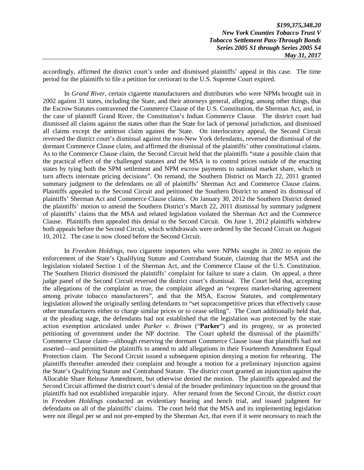accordingly, affirmed the district court's order and dismissed plaintiffs' appeal in this case. The time period for the plaintiffs to file a petition for certiorari to the U.S. Supreme Court expired.

In *Grand River*, certain cigarette manufacturers and distributors who were NPMs brought suit in 2002 against 31 states, including the State, and their attorneys general, alleging, among other things, that the Escrow Statutes contravened the Commerce Clause of the U.S. Constitution, the Sherman Act, and, in the case of plaintiff Grand River, the Constitution's Indian Commerce Clause. The district court had dismissed all claims against the states other than the State for lack of personal jurisdiction, and dismissed all claims except the antitrust claim against the State. On interlocutory appeal, the Second Circuit reversed the district court's dismissal against the non-New York defendants, reversed the dismissal of the dormant Commerce Clause claim, and affirmed the dismissal of the plaintiffs' other constitutional claims. As to the Commerce Clause claim, the Second Circuit held that the plaintiffs "state a possible claim that the practical effect of the challenged statutes and the MSA is to control prices outside of the enacting states by tying both the SPM settlement and NPM escrow payments to national market share, which in turn affects interstate pricing decisions". On remand, the Southern District on March 22, 2011 granted summary judgment to the defendants on all of plaintiffs' Sherman Act and Commerce Clause claims. Plaintiffs appealed to the Second Circuit and petitioned the Southern District to amend its dismissal of plaintiffs' Sherman Act and Commerce Clause claims. On January 30, 2012 the Southern District denied the plaintiffs' motion to amend the Southern District's March 22, 2011 dismissal by summary judgment of plaintiffs' claims that the MSA and related legislation violated the Sherman Act and the Commerce Clause. Plaintiffs then appealed this denial to the Second Circuit. On June 1, 2012 plaintiffs withdrew both appeals before the Second Circuit, which withdrawals were ordered by the Second Circuit on August 10, 2012. The case is now closed before the Second Circuit.

In *Freedom Holdings*, two cigarette importers who were NPMs sought in 2002 to enjoin the enforcement of the State's Qualifying Statute and Contraband Statute, claiming that the MSA and the legislation violated Section 1 of the Sherman Act, and the Commerce Clause of the U.S. Constitution. The Southern District dismissed the plaintiffs' complaint for failure to state a claim. On appeal, a three judge panel of the Second Circuit reversed the district court's dismissal. The Court held that, accepting the allegations of the complaint as true, the complaint alleged an "express market-sharing agreement among private tobacco manufacturers", and that the MSA, Escrow Statutes, and complementary legislation allowed the originally settling defendants to "set supracompetitive prices that effectively cause other manufacturers either to charge similar prices or to cease selling". The Court additionally held that, at the pleading stage, the defendants had not established that the legislation was protected by the state action exemption articulated under *Parker v. Brown* ("**Parker**") and its progeny, or as protected petitioning of government under the NP doctrine. The Court upheld the dismissal of the plaintiffs' Commerce Clause claim—although reserving the dormant Commerce Clause issue that plaintiffs had not asserted—and permitted the plaintiffs to amend to add allegations in their Fourteenth Amendment Equal Protection claim. The Second Circuit issued a subsequent opinion denying a motion for rehearing. The plaintiffs thereafter amended their complaint and brought a motion for a preliminary injunction against the State's Qualifying Statute and Contraband Statute. The district court granted an injunction against the Allocable Share Release Amendment, but otherwise denied the motion. The plaintiffs appealed and the Second Circuit affirmed the district court's denial of the broader preliminary injunction on the ground that plaintiffs had not established irreparable injury. After remand from the Second Circuit, the district court in *Freedom Holdings* conducted an evidentiary hearing and bench trial, and issued judgment for defendants on all of the plaintiffs' claims. The court held that the MSA and its implementing legislation were not illegal per se and not pre-empted by the Sherman Act, that even if it were necessary to reach the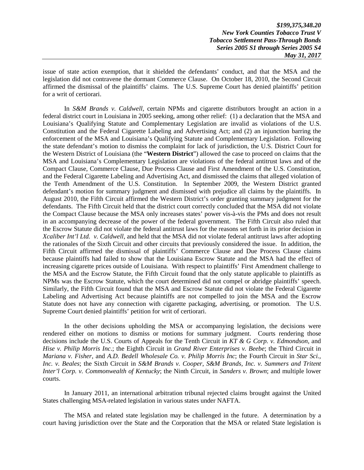*\$199,375,348.20 New York Counties Tobacco Trust V Tobacco Settlement Pass-Through Bonds Series 2005 S1 through Series 2005 S4 May 31, 2017* 

issue of state action exemption, that it shielded the defendants' conduct, and that the MSA and the legislation did not contravene the dormant Commerce Clause. On October 18, 2010, the Second Circuit affirmed the dismissal of the plaintiffs' claims. The U.S. Supreme Court has denied plaintiffs' petition for a writ of certiorari.

In *S&M Brands v. Caldwell*, certain NPMs and cigarette distributors brought an action in a federal district court in Louisiana in 2005 seeking, among other relief: (1) a declaration that the MSA and Louisiana's Qualifying Statute and Complementary Legislation are invalid as violations of the U.S. Constitution and the Federal Cigarette Labeling and Advertising Act; and (2) an injunction barring the enforcement of the MSA and Louisiana's Qualifying Statute and Complementary Legislation. Following the state defendant's motion to dismiss the complaint for lack of jurisdiction, the U.S. District Court for the Western District of Louisiana (the "**Western District**") allowed the case to proceed on claims that the MSA and Louisiana's Complementary Legislation are violations of the federal antitrust laws and of the Compact Clause, Commerce Clause, Due Process Clause and First Amendment of the U.S. Constitution, and the Federal Cigarette Labeling and Advertising Act, and dismissed the claims that alleged violation of the Tenth Amendment of the U.S. Constitution. In September 2009, the Western District granted defendant's motion for summary judgment and dismissed with prejudice all claims by the plaintiffs. In August 2010, the Fifth Circuit affirmed the Western District's order granting summary judgment for the defendants. The Fifth Circuit held that the district court correctly concluded that the MSA did not violate the Compact Clause because the MSA only increases states' power vis-à-vis the PMs and does not result in an accompanying decrease of the power of the federal government. The Fifth Circuit also ruled that the Escrow Statute did not violate the federal antitrust laws for the reasons set forth in its prior decision in *Xcaliber Int'l Ltd. v. Caldwell*, and held that the MSA did not violate federal antitrust laws after adopting the rationales of the Sixth Circuit and other circuits that previously considered the issue. In addition, the Fifth Circuit affirmed the dismissal of plaintiffs' Commerce Clause and Due Process Clause claims because plaintiffs had failed to show that the Louisiana Escrow Statute and the MSA had the effect of increasing cigarette prices outside of Louisiana. With respect to plaintiffs' First Amendment challenge to the MSA and the Escrow Statute, the Fifth Circuit found that the only statute applicable to plaintiffs as NPMs was the Escrow Statute, which the court determined did not compel or abridge plaintiffs' speech. Similarly, the Fifth Circuit found that the MSA and Escrow Statute did not violate the Federal Cigarette Labeling and Advertising Act because plaintiffs are not compelled to join the MSA and the Escrow Statute does not have any connection with cigarette packaging, advertising, or promotion. The U.S. Supreme Court denied plaintiffs' petition for writ of certiorari.

In the other decisions upholding the MSA or accompanying legislation, the decisions were rendered either on motions to dismiss or motions for summary judgment. Courts rendering those decisions include the U.S. Courts of Appeals for the Tenth Circuit in *KT & G Corp. v. Edmondson*, and *Hise v. Philip Morris Inc*.; the Eighth Circuit in *Grand River Enterprises v. Beebe*; the Third Circuit in *Mariana v. Fisher*, and *A.D. Bedell Wholesale Co. v. Philip Morris Inc*; the Fourth Circuit in *Star Sci., Inc. v. Beales*; the Sixth Circuit in *S&M Brands v. Cooper*, *S&M Brands, Inc. v. Summers and Tritent Inter'l Corp. v. Commonwealth of Kentucky*; the Ninth Circuit, in *Sanders v. Brown*; and multiple lower courts.

In January 2011, an international arbitration tribunal rejected claims brought against the United States challenging MSA-related legislation in various states under NAFTA.

The MSA and related state legislation may be challenged in the future. A determination by a court having jurisdiction over the State and the Corporation that the MSA or related State legislation is